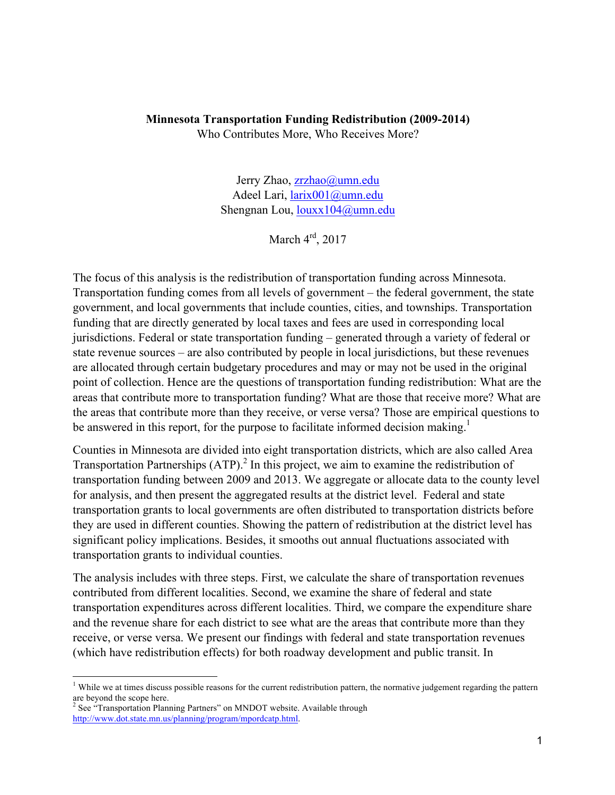#### **Minnesota Transportation Funding Redistribution (2009-2014)** Who Contributes More, Who Receives More?

Jerry Zhao, zrzhao@umn.edu Adeel Lari, larix001@umn.edu Shengnan Lou, louxx104@umn.edu

March 4rd, 2017

The focus of this analysis is the redistribution of transportation funding across Minnesota. Transportation funding comes from all levels of government – the federal government, the state government, and local governments that include counties, cities, and townships. Transportation funding that are directly generated by local taxes and fees are used in corresponding local jurisdictions. Federal or state transportation funding – generated through a variety of federal or state revenue sources – are also contributed by people in local jurisdictions, but these revenues are allocated through certain budgetary procedures and may or may not be used in the original point of collection. Hence are the questions of transportation funding redistribution: What are the areas that contribute more to transportation funding? What are those that receive more? What are the areas that contribute more than they receive, or verse versa? Those are empirical questions to be answered in this report, for the purpose to facilitate informed decision making.<sup>1</sup>

Counties in Minnesota are divided into eight transportation districts, which are also called Area Transportation Partnerships  $(ATP)^2$ . In this project, we aim to examine the redistribution of transportation funding between 2009 and 2013. We aggregate or allocate data to the county level for analysis, and then present the aggregated results at the district level. Federal and state transportation grants to local governments are often distributed to transportation districts before they are used in different counties. Showing the pattern of redistribution at the district level has significant policy implications. Besides, it smooths out annual fluctuations associated with transportation grants to individual counties.

The analysis includes with three steps. First, we calculate the share of transportation revenues contributed from different localities. Second, we examine the share of federal and state transportation expenditures across different localities. Third, we compare the expenditure share and the revenue share for each district to see what are the areas that contribute more than they receive, or verse versa. We present our findings with federal and state transportation revenues (which have redistribution effects) for both roadway development and public transit. In

1

 $1$  While we at times discuss possible reasons for the current redistribution pattern, the normative judgement regarding the pattern are beyond the scope here.

 $2^{2}$  See "Transportation Planning Partners" on MNDOT website. Available through http://www.dot.state.mn.us/planning/program/mpordcatp.html.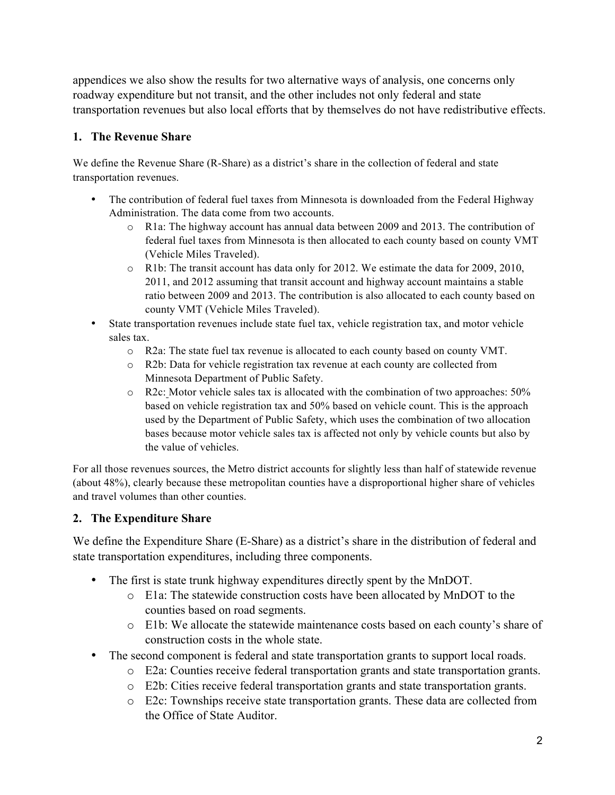appendices we also show the results for two alternative ways of analysis, one concerns only roadway expenditure but not transit, and the other includes not only federal and state transportation revenues but also local efforts that by themselves do not have redistributive effects.

### **1. The Revenue Share**

We define the Revenue Share (R-Share) as a district's share in the collection of federal and state transportation revenues.

- The contribution of federal fuel taxes from Minnesota is downloaded from the Federal Highway Administration. The data come from two accounts.
	- o R1a: The highway account has annual data between 2009 and 2013. The contribution of federal fuel taxes from Minnesota is then allocated to each county based on county VMT (Vehicle Miles Traveled).
	- o R1b: The transit account has data only for 2012. We estimate the data for 2009, 2010, 2011, and 2012 assuming that transit account and highway account maintains a stable ratio between 2009 and 2013. The contribution is also allocated to each county based on county VMT (Vehicle Miles Traveled).
- State transportation revenues include state fuel tax, vehicle registration tax, and motor vehicle sales tax.
	- o R2a: The state fuel tax revenue is allocated to each county based on county VMT.
	- o R2b: Data for vehicle registration tax revenue at each county are collected from Minnesota Department of Public Safety.
	- o R2c: Motor vehicle sales tax is allocated with the combination of two approaches: 50% based on vehicle registration tax and 50% based on vehicle count. This is the approach used by the Department of Public Safety, which uses the combination of two allocation bases because motor vehicle sales tax is affected not only by vehicle counts but also by the value of vehicles.

For all those revenues sources, the Metro district accounts for slightly less than half of statewide revenue (about 48%), clearly because these metropolitan counties have a disproportional higher share of vehicles and travel volumes than other counties.

# **2. The Expenditure Share**

We define the Expenditure Share (E-Share) as a district's share in the distribution of federal and state transportation expenditures, including three components.

- The first is state trunk highway expenditures directly spent by the MnDOT.
	- o E1a: The statewide construction costs have been allocated by MnDOT to the counties based on road segments.
	- o E1b: We allocate the statewide maintenance costs based on each county's share of construction costs in the whole state.
- The second component is federal and state transportation grants to support local roads.
	- o E2a: Counties receive federal transportation grants and state transportation grants.
	- o E2b: Cities receive federal transportation grants and state transportation grants.
	- o E2c: Townships receive state transportation grants. These data are collected from the Office of State Auditor.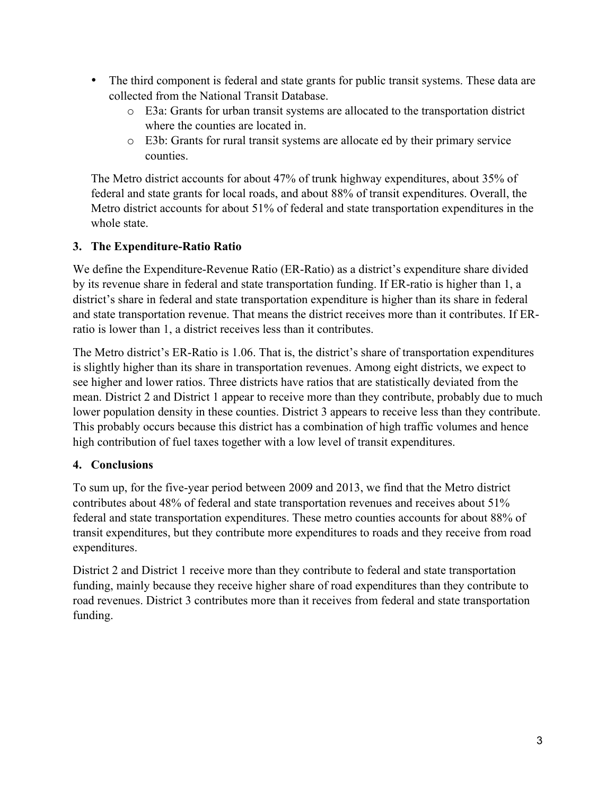- The third component is federal and state grants for public transit systems. These data are collected from the National Transit Database.
	- o E3a: Grants for urban transit systems are allocated to the transportation district where the counties are located in.
	- o E3b: Grants for rural transit systems are allocate ed by their primary service counties.

The Metro district accounts for about 47% of trunk highway expenditures, about 35% of federal and state grants for local roads, and about 88% of transit expenditures. Overall, the Metro district accounts for about 51% of federal and state transportation expenditures in the whole state.

# **3. The Expenditure-Ratio Ratio**

We define the Expenditure-Revenue Ratio (ER-Ratio) as a district's expenditure share divided by its revenue share in federal and state transportation funding. If ER-ratio is higher than 1, a district's share in federal and state transportation expenditure is higher than its share in federal and state transportation revenue. That means the district receives more than it contributes. If ERratio is lower than 1, a district receives less than it contributes.

The Metro district's ER-Ratio is 1.06. That is, the district's share of transportation expenditures is slightly higher than its share in transportation revenues. Among eight districts, we expect to see higher and lower ratios. Three districts have ratios that are statistically deviated from the mean. District 2 and District 1 appear to receive more than they contribute, probably due to much lower population density in these counties. District 3 appears to receive less than they contribute. This probably occurs because this district has a combination of high traffic volumes and hence high contribution of fuel taxes together with a low level of transit expenditures.

#### **4. Conclusions**

To sum up, for the five-year period between 2009 and 2013, we find that the Metro district contributes about 48% of federal and state transportation revenues and receives about 51% federal and state transportation expenditures. These metro counties accounts for about 88% of transit expenditures, but they contribute more expenditures to roads and they receive from road expenditures.

District 2 and District 1 receive more than they contribute to federal and state transportation funding, mainly because they receive higher share of road expenditures than they contribute to road revenues. District 3 contributes more than it receives from federal and state transportation funding.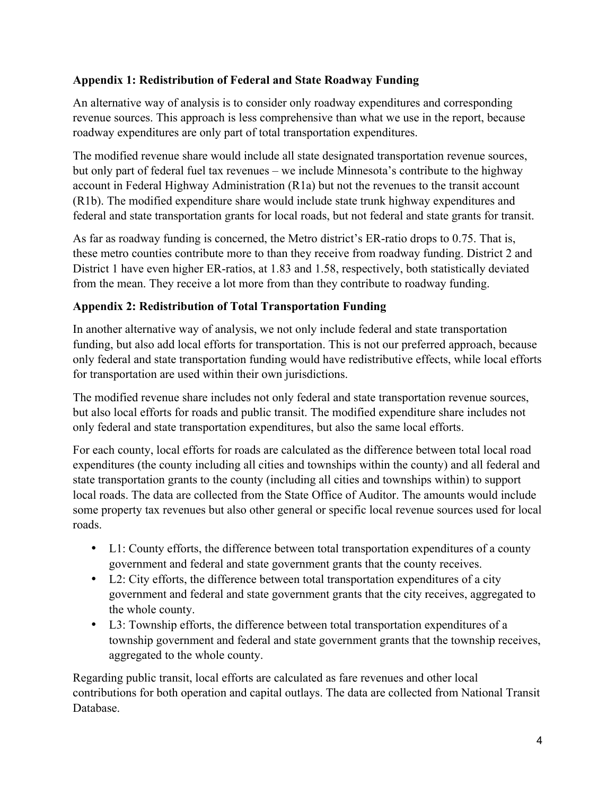#### **Appendix 1: Redistribution of Federal and State Roadway Funding**

An alternative way of analysis is to consider only roadway expenditures and corresponding revenue sources. This approach is less comprehensive than what we use in the report, because roadway expenditures are only part of total transportation expenditures.

The modified revenue share would include all state designated transportation revenue sources, but only part of federal fuel tax revenues – we include Minnesota's contribute to the highway account in Federal Highway Administration (R1a) but not the revenues to the transit account (R1b). The modified expenditure share would include state trunk highway expenditures and federal and state transportation grants for local roads, but not federal and state grants for transit.

As far as roadway funding is concerned, the Metro district's ER-ratio drops to 0.75. That is, these metro counties contribute more to than they receive from roadway funding. District 2 and District 1 have even higher ER-ratios, at 1.83 and 1.58, respectively, both statistically deviated from the mean. They receive a lot more from than they contribute to roadway funding.

#### **Appendix 2: Redistribution of Total Transportation Funding**

In another alternative way of analysis, we not only include federal and state transportation funding, but also add local efforts for transportation. This is not our preferred approach, because only federal and state transportation funding would have redistributive effects, while local efforts for transportation are used within their own jurisdictions.

The modified revenue share includes not only federal and state transportation revenue sources, but also local efforts for roads and public transit. The modified expenditure share includes not only federal and state transportation expenditures, but also the same local efforts.

For each county, local efforts for roads are calculated as the difference between total local road expenditures (the county including all cities and townships within the county) and all federal and state transportation grants to the county (including all cities and townships within) to support local roads. The data are collected from the State Office of Auditor. The amounts would include some property tax revenues but also other general or specific local revenue sources used for local roads.

- L1: County efforts, the difference between total transportation expenditures of a county government and federal and state government grants that the county receives.
- L2: City efforts, the difference between total transportation expenditures of a city government and federal and state government grants that the city receives, aggregated to the whole county.
- L3: Township efforts, the difference between total transportation expenditures of a township government and federal and state government grants that the township receives, aggregated to the whole county.

Regarding public transit, local efforts are calculated as fare revenues and other local contributions for both operation and capital outlays. The data are collected from National Transit Database.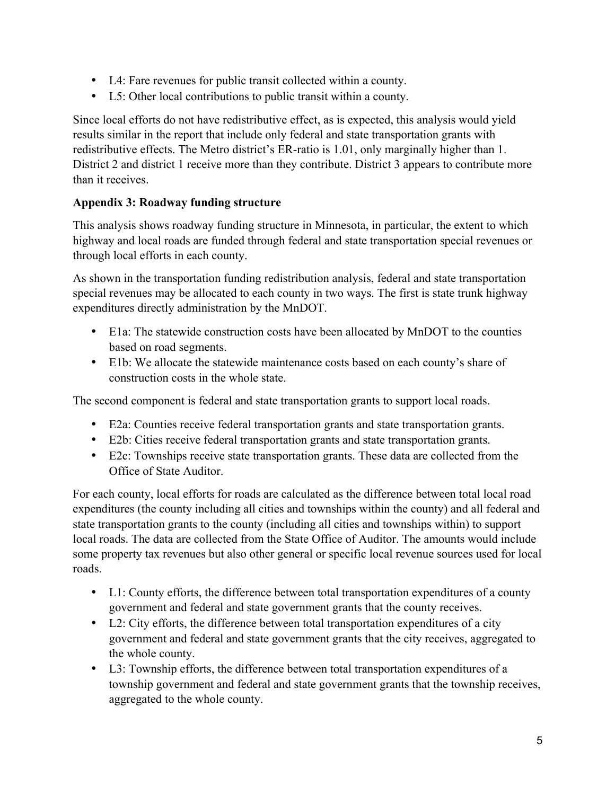- L4: Fare revenues for public transit collected within a county.
- L5: Other local contributions to public transit within a county.

Since local efforts do not have redistributive effect, as is expected, this analysis would yield results similar in the report that include only federal and state transportation grants with redistributive effects. The Metro district's ER-ratio is 1.01, only marginally higher than 1. District 2 and district 1 receive more than they contribute. District 3 appears to contribute more than it receives.

#### **Appendix 3: Roadway funding structure**

This analysis shows roadway funding structure in Minnesota, in particular, the extent to which highway and local roads are funded through federal and state transportation special revenues or through local efforts in each county.

As shown in the transportation funding redistribution analysis, federal and state transportation special revenues may be allocated to each county in two ways. The first is state trunk highway expenditures directly administration by the MnDOT.

- E1a: The statewide construction costs have been allocated by MnDOT to the counties based on road segments.
- E1b: We allocate the statewide maintenance costs based on each county's share of construction costs in the whole state.

The second component is federal and state transportation grants to support local roads.

- E2a: Counties receive federal transportation grants and state transportation grants.
- E2b: Cities receive federal transportation grants and state transportation grants.
- E2c: Townships receive state transportation grants. These data are collected from the Office of State Auditor.

For each county, local efforts for roads are calculated as the difference between total local road expenditures (the county including all cities and townships within the county) and all federal and state transportation grants to the county (including all cities and townships within) to support local roads. The data are collected from the State Office of Auditor. The amounts would include some property tax revenues but also other general or specific local revenue sources used for local roads.

- L1: County efforts, the difference between total transportation expenditures of a county government and federal and state government grants that the county receives.
- L2: City efforts, the difference between total transportation expenditures of a city government and federal and state government grants that the city receives, aggregated to the whole county.
- L3: Township efforts, the difference between total transportation expenditures of a township government and federal and state government grants that the township receives, aggregated to the whole county.